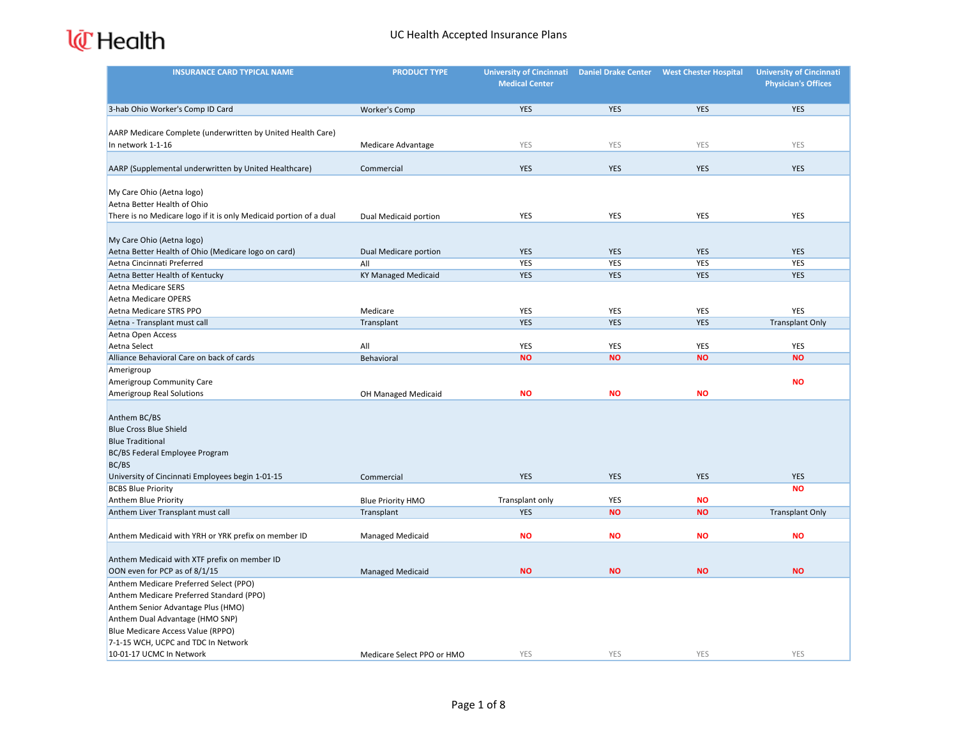| <b>INSURANCE CARD TYPICAL NAME</b>                                       | <b>PRODUCT TYPE</b>        | University of Cincinnati Daniel Drake Center<br><b>Medical Center</b> |                         | <b>West Chester Hospital</b> | <b>University of Cincinnati</b><br><b>Physician's Offices</b> |
|--------------------------------------------------------------------------|----------------------------|-----------------------------------------------------------------------|-------------------------|------------------------------|---------------------------------------------------------------|
|                                                                          |                            |                                                                       |                         |                              |                                                               |
| 3-hab Ohio Worker's Comp ID Card                                         | Worker's Comp              | <b>YES</b>                                                            | <b>YES</b>              | <b>YES</b>                   | <b>YES</b>                                                    |
| AARP Medicare Complete (underwritten by United Health Care)              |                            |                                                                       |                         |                              |                                                               |
| In network 1-1-16                                                        | Medicare Advantage         | YES                                                                   | YES                     | YES                          | YES                                                           |
|                                                                          |                            |                                                                       |                         |                              |                                                               |
| AARP (Supplemental underwritten by United Healthcare)                    | Commercial                 | <b>YES</b>                                                            | <b>YES</b>              | <b>YES</b>                   | <b>YES</b>                                                    |
|                                                                          |                            |                                                                       |                         |                              |                                                               |
| My Care Ohio (Aetna logo)                                                |                            |                                                                       |                         |                              |                                                               |
| Aetna Better Health of Ohio                                              |                            |                                                                       |                         |                              |                                                               |
| There is no Medicare logo if it is only Medicaid portion of a dual       | Dual Medicaid portion      | YES                                                                   | <b>YES</b>              | YES                          | <b>YES</b>                                                    |
|                                                                          |                            |                                                                       |                         |                              |                                                               |
| My Care Ohio (Aetna logo)                                                |                            |                                                                       |                         |                              |                                                               |
| Aetna Better Health of Ohio (Medicare logo on card)                      | Dual Medicare portion      | <b>YES</b>                                                            | <b>YES</b>              | <b>YES</b>                   | YES                                                           |
| Aetna Cincinnati Preferred                                               | All                        | <b>YES</b>                                                            | <b>YES</b>              | <b>YES</b>                   | <b>YES</b>                                                    |
| Aetna Better Health of Kentucky                                          | KY Managed Medicaid        | <b>YES</b>                                                            | <b>YES</b>              | <b>YES</b>                   | <b>YES</b>                                                    |
| <b>Aetna Medicare SERS</b>                                               |                            |                                                                       |                         |                              |                                                               |
| <b>Aetna Medicare OPERS</b>                                              |                            |                                                                       |                         |                              |                                                               |
| Aetna Medicare STRS PPO                                                  | Medicare                   | YES                                                                   | <b>YES</b>              | YES                          | <b>YES</b>                                                    |
| Aetna - Transplant must call                                             | Transplant                 | <b>YES</b>                                                            | <b>YES</b>              | <b>YES</b>                   | <b>Transplant Only</b>                                        |
| Aetna Open Access                                                        |                            |                                                                       |                         |                              |                                                               |
| Aetna Select                                                             | All                        | YES                                                                   | <b>YES</b>              | <b>YES</b>                   | YES                                                           |
| Alliance Behavioral Care on back of cards                                | Behavioral                 | <b>NO</b>                                                             | <b>NO</b>               | <b>NO</b>                    | <b>NO</b>                                                     |
| Amerigroup                                                               |                            |                                                                       |                         |                              |                                                               |
| Amerigroup Community Care                                                |                            |                                                                       |                         |                              | <b>NO</b>                                                     |
| <b>Amerigroup Real Solutions</b>                                         | OH Managed Medicaid        | <b>NO</b>                                                             | <b>NO</b>               | <b>NO</b>                    |                                                               |
|                                                                          |                            |                                                                       |                         |                              |                                                               |
| Anthem BC/BS                                                             |                            |                                                                       |                         |                              |                                                               |
| <b>Blue Cross Blue Shield</b>                                            |                            |                                                                       |                         |                              |                                                               |
| <b>Blue Traditional</b>                                                  |                            |                                                                       |                         |                              |                                                               |
| BC/BS Federal Employee Program                                           |                            |                                                                       |                         |                              |                                                               |
| BC/BS                                                                    |                            |                                                                       |                         |                              |                                                               |
| University of Cincinnati Employees begin 1-01-15                         | Commercial                 | <b>YES</b>                                                            | <b>YES</b>              | <b>YES</b>                   | <b>YES</b>                                                    |
| <b>BCBS Blue Priority</b>                                                |                            |                                                                       |                         |                              | <b>NO</b>                                                     |
| Anthem Blue Priority                                                     | <b>Blue Priority HMO</b>   | Transplant only                                                       | <b>YES</b><br><b>NO</b> | <b>NO</b><br><b>NO</b>       |                                                               |
| Anthem Liver Transplant must call                                        | Transplant                 | <b>YES</b>                                                            |                         |                              | <b>Transplant Only</b>                                        |
| Anthem Medicaid with YRH or YRK prefix on member ID                      | <b>Managed Medicaid</b>    | <b>NO</b>                                                             | <b>NO</b>               | <b>NO</b>                    | <b>NO</b>                                                     |
|                                                                          |                            |                                                                       |                         |                              |                                                               |
| Anthem Medicaid with XTF prefix on member ID                             |                            |                                                                       |                         |                              |                                                               |
| OON even for PCP as of 8/1/15                                            | <b>Managed Medicaid</b>    | <b>NO</b>                                                             | <b>NO</b>               | <b>NO</b>                    | <b>NO</b>                                                     |
| Anthem Medicare Preferred Select (PPO)                                   |                            |                                                                       |                         |                              |                                                               |
| Anthem Medicare Preferred Standard (PPO)                                 |                            |                                                                       |                         |                              |                                                               |
| Anthem Senior Advantage Plus (HMO)                                       |                            |                                                                       |                         |                              |                                                               |
| Anthem Dual Advantage (HMO SNP)                                          |                            |                                                                       |                         |                              |                                                               |
| Blue Medicare Access Value (RPPO)<br>7-1-15 WCH, UCPC and TDC In Network |                            |                                                                       |                         |                              |                                                               |
| 10-01-17 UCMC In Network                                                 | Medicare Select PPO or HMO | YES                                                                   | YES                     | YES                          | YES                                                           |
|                                                                          |                            |                                                                       |                         |                              |                                                               |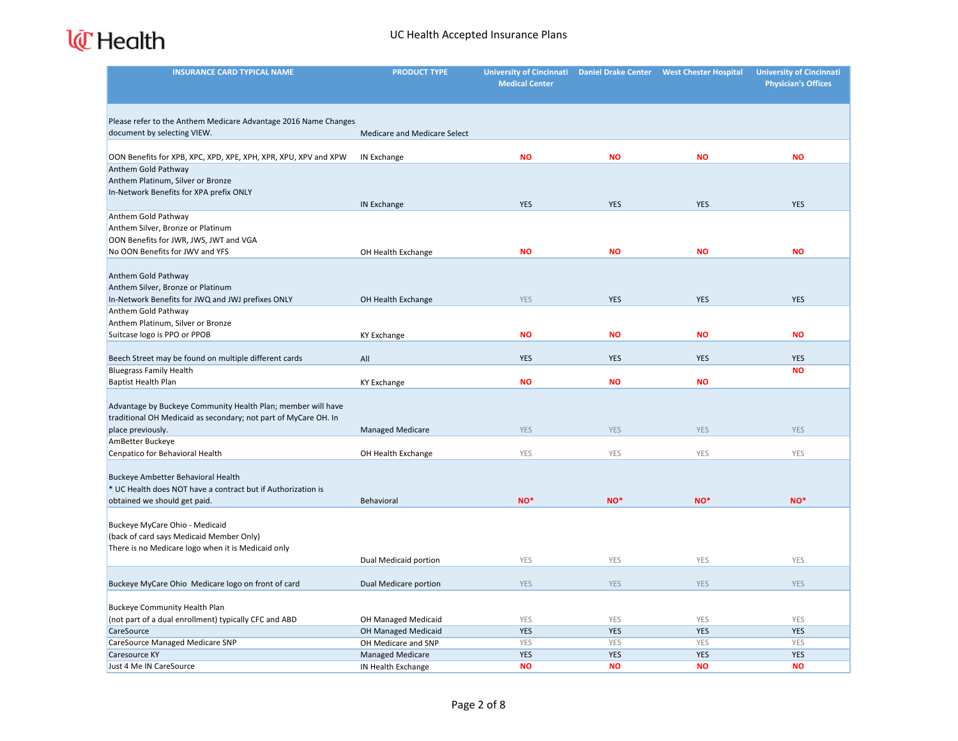

| <b>INSURANCE CARD TYPICAL NAME</b>                              | <b>PRODUCT TYPE</b>          | <b>University of Cincinnati</b> | <b>Daniel Drake Center</b> | <b>West Chester Hospital</b> | <b>University of Cincinnati</b> |
|-----------------------------------------------------------------|------------------------------|---------------------------------|----------------------------|------------------------------|---------------------------------|
|                                                                 |                              | <b>Medical Center</b>           |                            |                              | <b>Physician's Offices</b>      |
|                                                                 |                              |                                 |                            |                              |                                 |
| Please refer to the Anthem Medicare Advantage 2016 Name Changes |                              |                                 |                            |                              |                                 |
| document by selecting VIEW.                                     | Medicare and Medicare Select |                                 |                            |                              |                                 |
|                                                                 |                              |                                 |                            |                              |                                 |
| OON Benefits for XPB, XPC, XPD, XPE, XPH, XPR, XPU, XPV and XPW | IN Exchange                  | <b>NO</b>                       | <b>NO</b>                  | <b>NO</b>                    | <b>NO</b>                       |
| Anthem Gold Pathway                                             |                              |                                 |                            |                              |                                 |
| Anthem Platinum, Silver or Bronze                               |                              |                                 |                            |                              |                                 |
| In-Network Benefits for XPA prefix ONLY                         |                              |                                 |                            |                              |                                 |
|                                                                 | <b>IN Exchange</b>           | <b>YES</b>                      | <b>YES</b>                 | <b>YES</b>                   | <b>YES</b>                      |
| Anthem Gold Pathway                                             |                              |                                 |                            |                              |                                 |
| Anthem Silver, Bronze or Platinum                               |                              |                                 |                            |                              |                                 |
| OON Benefits for JWR, JWS, JWT and VGA                          |                              |                                 |                            |                              |                                 |
| No OON Benefits for JWV and YFS                                 | OH Health Exchange           | <b>NO</b>                       | <b>NO</b>                  | <b>NO</b>                    | <b>NO</b>                       |
|                                                                 |                              |                                 |                            |                              |                                 |
| Anthem Gold Pathway                                             |                              |                                 |                            |                              |                                 |
| Anthem Silver, Bronze or Platinum                               |                              |                                 |                            |                              |                                 |
| In-Network Benefits for JWQ and JWJ prefixes ONLY               | OH Health Exchange           | <b>YES</b>                      | <b>YES</b>                 | <b>YES</b>                   | <b>YES</b>                      |
| Anthem Gold Pathway                                             |                              |                                 |                            |                              |                                 |
| Anthem Platinum, Silver or Bronze                               |                              |                                 |                            |                              |                                 |
| Suitcase logo is PPO or PPOB                                    | <b>KY Exchange</b>           | <b>NO</b>                       | <b>NO</b>                  | <b>NO</b>                    | <b>NO</b>                       |
| Beech Street may be found on multiple different cards           | All                          | <b>YES</b>                      | <b>YES</b>                 | <b>YES</b>                   | <b>YES</b>                      |
| <b>Bluegrass Family Health</b>                                  |                              |                                 |                            |                              | <b>NO</b>                       |
| Baptist Health Plan                                             | <b>KY Exchange</b>           | <b>NO</b>                       | <b>NO</b>                  | <b>NO</b>                    |                                 |
|                                                                 |                              |                                 |                            |                              |                                 |
| Advantage by Buckeye Community Health Plan; member will have    |                              |                                 |                            |                              |                                 |
| traditional OH Medicaid as secondary; not part of MyCare OH. In |                              |                                 |                            |                              |                                 |
| place previously.                                               | <b>Managed Medicare</b>      | <b>YES</b>                      | <b>YES</b>                 | <b>YES</b>                   | <b>YES</b>                      |
| AmBetter Buckeye                                                |                              |                                 |                            |                              |                                 |
| Cenpatico for Behavioral Health                                 | OH Health Exchange           | YES                             | YES                        | YES                          | YES                             |
|                                                                 |                              |                                 |                            |                              |                                 |
| Buckeye Ambetter Behavioral Health                              |                              |                                 |                            |                              |                                 |
| * UC Health does NOT have a contract but if Authorization is    |                              |                                 |                            |                              |                                 |
| obtained we should get paid.                                    | Behavioral                   | NO <sup>*</sup>                 | NO <sup>*</sup>            | NO*                          | NO*                             |
|                                                                 |                              |                                 |                            |                              |                                 |
| Buckeye MyCare Ohio - Medicaid                                  |                              |                                 |                            |                              |                                 |
| (back of card says Medicaid Member Only)                        |                              |                                 |                            |                              |                                 |
| There is no Medicare logo when it is Medicaid only              |                              |                                 |                            |                              |                                 |
|                                                                 | Dual Medicaid portion        | YES                             | <b>YES</b>                 | <b>YES</b>                   | <b>YES</b>                      |
|                                                                 |                              |                                 |                            |                              |                                 |
| Buckeye MyCare Ohio Medicare logo on front of card              | Dual Medicare portion        | <b>YES</b>                      | <b>YES</b>                 | <b>YES</b>                   | <b>YES</b>                      |
|                                                                 |                              |                                 |                            |                              |                                 |
| Buckeye Community Health Plan                                   |                              |                                 |                            |                              |                                 |
| (not part of a dual enrollment) typically CFC and ABD           | <b>OH Managed Medicaid</b>   | YES                             | YES                        | YES                          | YES                             |
| CareSource                                                      | OH Managed Medicaid          | <b>YES</b>                      | <b>YES</b>                 | <b>YES</b>                   | <b>YES</b>                      |
| CareSource Managed Medicare SNP                                 | OH Medicare and SNP          | YES                             | YES                        | YES                          | YES                             |
| Caresource KY                                                   | <b>Managed Medicare</b>      | <b>YES</b>                      | <b>YES</b>                 | <b>YES</b>                   | <b>YES</b>                      |
| Just 4 Me IN CareSource                                         | IN Health Exchange           | <b>NO</b>                       | <b>NO</b>                  | <b>NO</b>                    | <b>NO</b>                       |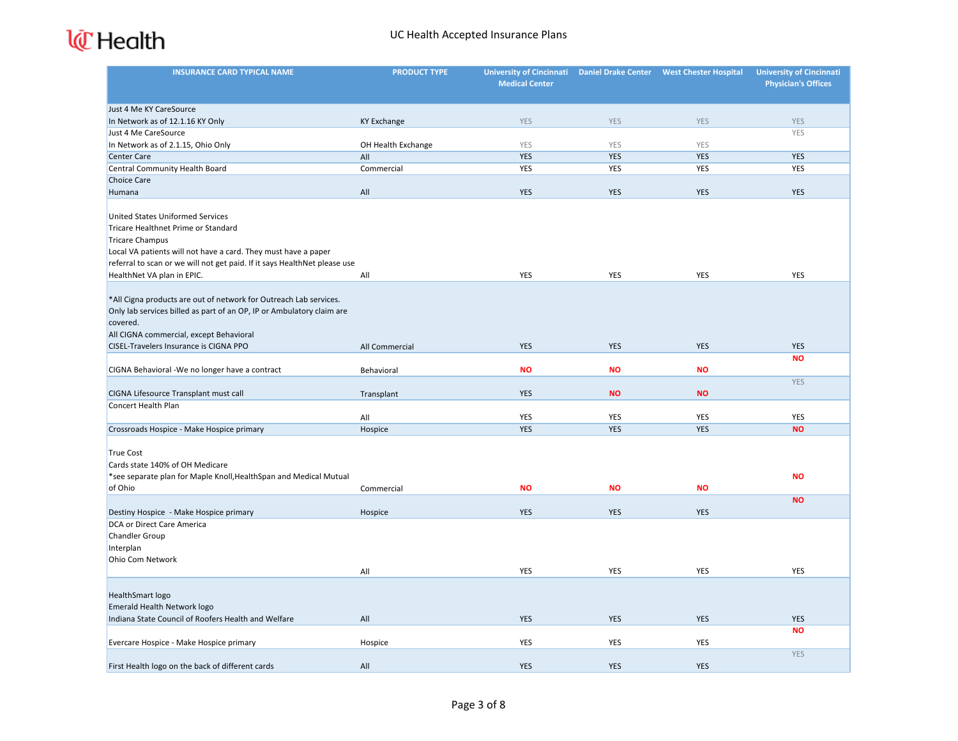| <b>INSURANCE CARD TYPICAL NAME</b>                                                                                                         | <b>PRODUCT TYPE</b> | University of Cincinnati Daniel Drake Center<br><b>Medical Center</b> |            | <b>West Chester Hospital</b> | <b>University of Cincinnati</b><br><b>Physician's Offices</b> |
|--------------------------------------------------------------------------------------------------------------------------------------------|---------------------|-----------------------------------------------------------------------|------------|------------------------------|---------------------------------------------------------------|
|                                                                                                                                            |                     |                                                                       |            |                              |                                                               |
| Just 4 Me KY CareSource                                                                                                                    |                     |                                                                       |            |                              |                                                               |
| In Network as of 12.1.16 KY Only                                                                                                           | <b>KY Exchange</b>  | <b>YES</b>                                                            | <b>YES</b> | <b>YES</b>                   | <b>YES</b>                                                    |
| Just 4 Me CareSource                                                                                                                       |                     |                                                                       |            |                              | YES                                                           |
| In Network as of 2.1.15, Ohio Only                                                                                                         | OH Health Exchange  | YES                                                                   | YES        | YES                          |                                                               |
| Center Care                                                                                                                                | All                 | <b>YES</b>                                                            | <b>YES</b> | <b>YES</b>                   | <b>YES</b>                                                    |
| Central Community Health Board                                                                                                             | Commercial          | YES                                                                   | <b>YES</b> | <b>YES</b>                   | <b>YES</b>                                                    |
| <b>Choice Care</b>                                                                                                                         |                     |                                                                       |            |                              |                                                               |
| Humana                                                                                                                                     | All                 | <b>YES</b>                                                            | <b>YES</b> | <b>YES</b>                   | <b>YES</b>                                                    |
|                                                                                                                                            |                     |                                                                       |            |                              |                                                               |
| <b>United States Uniformed Services</b>                                                                                                    |                     |                                                                       |            |                              |                                                               |
| Tricare Healthnet Prime or Standard                                                                                                        |                     |                                                                       |            |                              |                                                               |
| <b>Tricare Champus</b>                                                                                                                     |                     |                                                                       |            |                              |                                                               |
| Local VA patients will not have a card. They must have a paper                                                                             |                     |                                                                       |            |                              |                                                               |
| referral to scan or we will not get paid. If it says HealthNet please use                                                                  |                     |                                                                       |            |                              |                                                               |
| HealthNet VA plan in EPIC.                                                                                                                 | All                 | YES                                                                   | YES        | <b>YES</b>                   | <b>YES</b>                                                    |
|                                                                                                                                            |                     |                                                                       |            |                              |                                                               |
| *All Cigna products are out of network for Outreach Lab services.<br>Only lab services billed as part of an OP, IP or Ambulatory claim are |                     |                                                                       |            |                              |                                                               |
| covered.                                                                                                                                   |                     |                                                                       |            |                              |                                                               |
| All CIGNA commercial, except Behavioral                                                                                                    |                     |                                                                       |            |                              |                                                               |
| CISEL-Travelers Insurance is CIGNA PPO                                                                                                     | All Commercial      | <b>YES</b>                                                            | <b>YES</b> | <b>YES</b>                   | <b>YES</b>                                                    |
|                                                                                                                                            |                     |                                                                       |            |                              | <b>NO</b>                                                     |
| CIGNA Behavioral -We no longer have a contract                                                                                             | Behavioral          | <b>NO</b>                                                             | <b>NO</b>  | <b>NO</b>                    |                                                               |
|                                                                                                                                            |                     |                                                                       |            |                              | <b>YES</b>                                                    |
| CIGNA Lifesource Transplant must call                                                                                                      | Transplant          | <b>YES</b>                                                            | <b>NO</b>  | <b>NO</b>                    |                                                               |
| Concert Health Plan                                                                                                                        |                     |                                                                       |            |                              |                                                               |
|                                                                                                                                            | All                 | YES                                                                   | YES        | YES                          | YES                                                           |
| Crossroads Hospice - Make Hospice primary                                                                                                  | Hospice             | <b>YES</b>                                                            | <b>YES</b> | <b>YES</b>                   | <b>NO</b>                                                     |
|                                                                                                                                            |                     |                                                                       |            |                              |                                                               |
| <b>True Cost</b>                                                                                                                           |                     |                                                                       |            |                              |                                                               |
| Cards state 140% of OH Medicare                                                                                                            |                     |                                                                       |            |                              |                                                               |
| *see separate plan for Maple Knoll, Health Span and Medical Mutual                                                                         |                     |                                                                       |            |                              | <b>NO</b>                                                     |
| of Ohio                                                                                                                                    | Commercial          | <b>NO</b>                                                             | <b>NO</b>  | <b>NO</b>                    |                                                               |
|                                                                                                                                            |                     |                                                                       |            |                              | <b>NO</b>                                                     |
| Destiny Hospice - Make Hospice primary                                                                                                     | Hospice             | <b>YES</b>                                                            | <b>YES</b> | <b>YES</b>                   |                                                               |
| DCA or Direct Care America                                                                                                                 |                     |                                                                       |            |                              |                                                               |
| Chandler Group                                                                                                                             |                     |                                                                       |            |                              |                                                               |
| Interplan                                                                                                                                  |                     |                                                                       |            |                              |                                                               |
| Ohio Com Network                                                                                                                           |                     |                                                                       |            |                              |                                                               |
|                                                                                                                                            | All                 | YES                                                                   | YES        | YES                          | YES                                                           |
|                                                                                                                                            |                     |                                                                       |            |                              |                                                               |
| HealthSmart logo<br>Emerald Health Network logo                                                                                            |                     |                                                                       |            |                              |                                                               |
| Indiana State Council of Roofers Health and Welfare                                                                                        | All                 | <b>YES</b>                                                            | <b>YES</b> | <b>YES</b>                   | <b>YES</b>                                                    |
|                                                                                                                                            |                     |                                                                       |            |                              | <b>NO</b>                                                     |
| Evercare Hospice - Make Hospice primary                                                                                                    | Hospice             | YES                                                                   | YES        | YES                          |                                                               |
|                                                                                                                                            |                     |                                                                       |            |                              | <b>YES</b>                                                    |
| First Health logo on the back of different cards                                                                                           | All                 | <b>YES</b>                                                            | <b>YES</b> | <b>YES</b>                   |                                                               |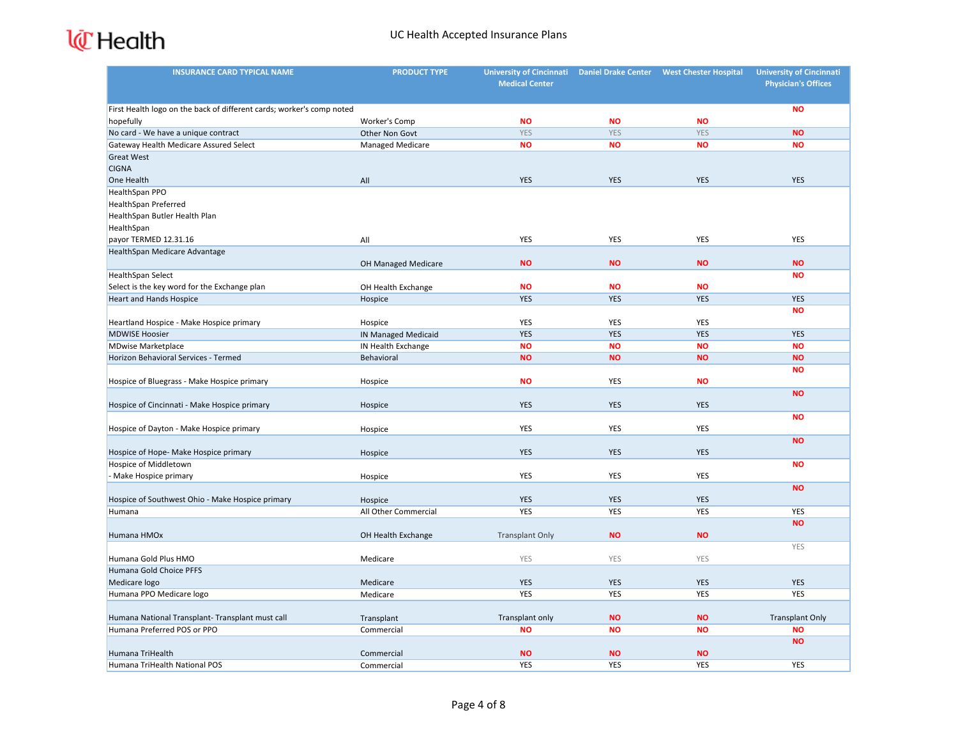| <b>INSURANCE CARD TYPICAL NAME</b>                                    | <b>PRODUCT TYPE</b>        | <b>University of Cincinnati</b> | <b>Daniel Drake Center</b> | <b>West Chester Hospital</b> | <b>University of Cincinnati</b> |
|-----------------------------------------------------------------------|----------------------------|---------------------------------|----------------------------|------------------------------|---------------------------------|
|                                                                       |                            | <b>Medical Center</b>           |                            |                              | <b>Physician's Offices</b>      |
| First Health logo on the back of different cards; worker's comp noted |                            |                                 |                            |                              | <b>NO</b>                       |
| hopefully                                                             | Worker's Comp              | <b>NO</b>                       | <b>NO</b>                  | <b>NO</b>                    |                                 |
| No card - We have a unique contract                                   | Other Non Govt             | <b>YES</b>                      | <b>YES</b>                 | <b>YES</b>                   | <b>NO</b>                       |
| Gateway Health Medicare Assured Select                                | Managed Medicare           | <b>NO</b>                       | <b>NO</b>                  | <b>NO</b>                    | <b>NO</b>                       |
| <b>Great West</b>                                                     |                            |                                 |                            |                              |                                 |
| <b>CIGNA</b>                                                          |                            |                                 |                            |                              |                                 |
| One Health                                                            | All                        | <b>YES</b>                      | <b>YES</b>                 | <b>YES</b>                   | <b>YES</b>                      |
| HealthSpan PPO                                                        |                            |                                 |                            |                              |                                 |
| <b>HealthSpan Preferred</b>                                           |                            |                                 |                            |                              |                                 |
| HealthSpan Butler Health Plan                                         |                            |                                 |                            |                              |                                 |
| HealthSpan                                                            |                            |                                 |                            |                              |                                 |
| payor TERMED 12.31.16                                                 | All                        | YES                             | <b>YES</b>                 | <b>YES</b>                   | <b>YES</b>                      |
| HealthSpan Medicare Advantage                                         |                            |                                 |                            |                              |                                 |
|                                                                       | OH Managed Medicare        | <b>NO</b>                       | <b>NO</b>                  | <b>NO</b>                    | <b>NO</b>                       |
| HealthSpan Select                                                     |                            |                                 |                            |                              | <b>NO</b>                       |
| Select is the key word for the Exchange plan                          | OH Health Exchange         | <b>NO</b>                       | <b>NO</b>                  | <b>NO</b>                    |                                 |
| <b>Heart and Hands Hospice</b>                                        | Hospice                    | <b>YES</b>                      | <b>YES</b>                 | <b>YES</b>                   | <b>YES</b>                      |
|                                                                       |                            |                                 |                            |                              | <b>NO</b>                       |
| Heartland Hospice - Make Hospice primary                              | Hospice                    | YES                             | YES                        | YES                          |                                 |
| <b>MDWISE Hoosier</b>                                                 | <b>IN Managed Medicaid</b> | <b>YES</b>                      | <b>YES</b>                 | <b>YES</b>                   | <b>YES</b>                      |
| <b>MDwise Marketplace</b>                                             | IN Health Exchange         | <b>NO</b>                       | <b>NO</b>                  | <b>NO</b>                    | <b>NO</b>                       |
| Horizon Behavioral Services - Termed                                  | Behavioral                 | <b>NO</b>                       | <b>NO</b>                  | <b>NO</b>                    | <b>NO</b>                       |
|                                                                       |                            |                                 |                            |                              | <b>NO</b>                       |
| Hospice of Bluegrass - Make Hospice primary                           | Hospice                    | <b>NO</b>                       | <b>YES</b>                 | <b>NO</b>                    |                                 |
|                                                                       |                            |                                 |                            |                              | <b>NO</b>                       |
| Hospice of Cincinnati - Make Hospice primary                          | Hospice                    | <b>YES</b>                      | <b>YES</b>                 | <b>YES</b>                   | <b>NO</b>                       |
|                                                                       |                            | YES                             | YES                        | YES                          |                                 |
| Hospice of Dayton - Make Hospice primary                              | Hospice                    |                                 |                            |                              | <b>NO</b>                       |
| Hospice of Hope- Make Hospice primary                                 | Hospice                    | <b>YES</b>                      | <b>YES</b>                 | <b>YES</b>                   |                                 |
| Hospice of Middletown                                                 |                            |                                 |                            |                              | <b>NO</b>                       |
| - Make Hospice primary                                                | Hospice                    | YES                             | YES                        | YES                          |                                 |
|                                                                       |                            |                                 |                            |                              | <b>NO</b>                       |
| Hospice of Southwest Ohio - Make Hospice primary                      | Hospice                    | <b>YES</b>                      | <b>YES</b>                 | <b>YES</b>                   |                                 |
| Humana                                                                | All Other Commercial       | <b>YES</b>                      | <b>YES</b>                 | <b>YES</b>                   | <b>YES</b>                      |
|                                                                       |                            |                                 |                            |                              | <b>NO</b>                       |
| Humana HMOx                                                           | OH Health Exchange         | <b>Transplant Only</b>          | <b>NO</b>                  | <b>NO</b>                    |                                 |
|                                                                       |                            |                                 |                            |                              | YES                             |
| Humana Gold Plus HMO                                                  | Medicare                   | YES                             | <b>YES</b>                 | YES                          |                                 |
| Humana Gold Choice PFFS                                               |                            |                                 |                            |                              |                                 |
| Medicare logo                                                         | Medicare                   | <b>YES</b>                      | <b>YES</b>                 | <b>YES</b>                   | <b>YES</b>                      |
| Humana PPO Medicare logo                                              | Medicare                   | YES                             | <b>YES</b>                 | <b>YES</b>                   | <b>YES</b>                      |
|                                                                       |                            |                                 |                            |                              |                                 |
| Humana National Transplant- Transplant must call                      | Transplant                 | Transplant only                 | <b>NO</b>                  | <b>NO</b>                    | <b>Transplant Only</b>          |
| Humana Preferred POS or PPO                                           | Commercial                 | <b>NO</b>                       | <b>NO</b>                  | <b>NO</b>                    | <b>NO</b>                       |
|                                                                       |                            |                                 |                            |                              | <b>NO</b>                       |
| Humana TriHealth                                                      | Commercial                 | <b>NO</b>                       | <b>NO</b>                  | <b>NO</b>                    |                                 |
| Humana TriHealth National POS                                         | Commercial                 | YES                             | <b>YES</b>                 | YES                          | <b>YES</b>                      |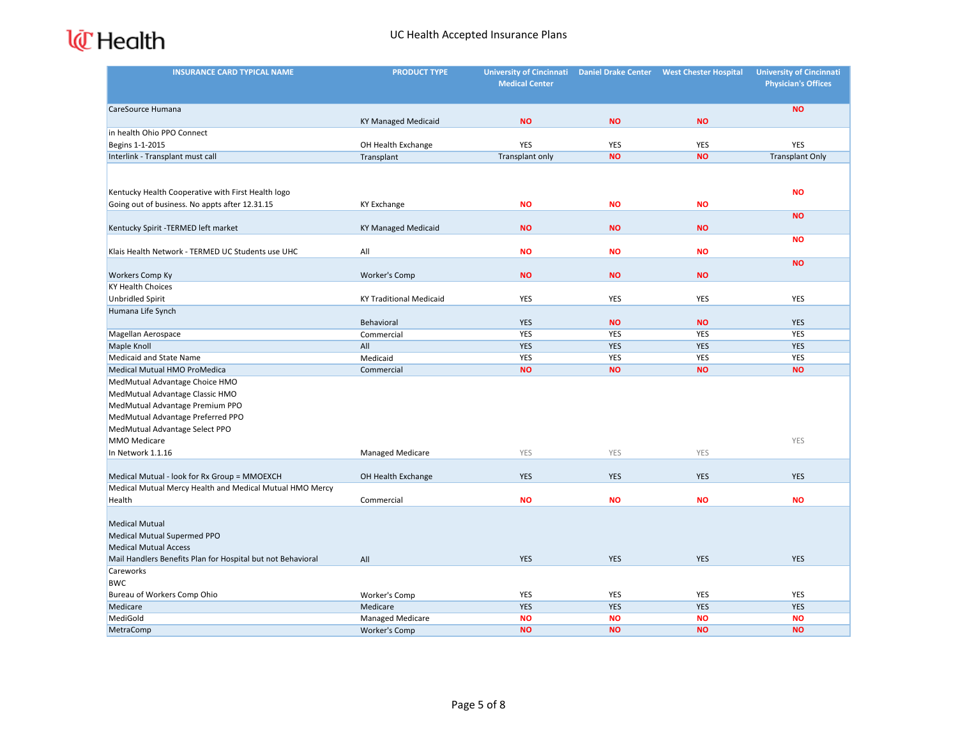| <b>INSURANCE CARD TYPICAL NAME</b>                          | <b>PRODUCT TYPE</b>            | University of Cincinnati Daniel Drake Center<br><b>Medical Center</b> |            | <b>West Chester Hospital</b> | <b>University of Cincinnati</b><br><b>Physician's Offices</b> |
|-------------------------------------------------------------|--------------------------------|-----------------------------------------------------------------------|------------|------------------------------|---------------------------------------------------------------|
|                                                             |                                |                                                                       |            |                              |                                                               |
| CareSource Humana                                           | <b>KY Managed Medicaid</b>     | <b>NO</b>                                                             | <b>NO</b>  | <b>NO</b>                    | <b>NO</b>                                                     |
| in health Ohio PPO Connect                                  |                                |                                                                       |            |                              |                                                               |
| Begins 1-1-2015                                             | OH Health Exchange             | YES                                                                   | YES        | YES                          | <b>YES</b>                                                    |
| Interlink - Transplant must call                            | Transplant                     | Transplant only                                                       | <b>NO</b>  | <b>NO</b>                    | <b>Transplant Only</b>                                        |
|                                                             |                                |                                                                       |            |                              |                                                               |
| Kentucky Health Cooperative with First Health logo          |                                |                                                                       |            |                              | <b>NO</b>                                                     |
| Going out of business. No appts after 12.31.15              | <b>KY Exchange</b>             | <b>NO</b>                                                             | <b>NO</b>  | <b>NO</b>                    |                                                               |
|                                                             |                                |                                                                       |            |                              | <b>NO</b>                                                     |
| Kentucky Spirit -TERMED left market                         | <b>KY Managed Medicaid</b>     | <b>NO</b>                                                             | <b>NO</b>  | <b>NO</b>                    |                                                               |
| Klais Health Network - TERMED UC Students use UHC           | All                            | <b>NO</b>                                                             | <b>NO</b>  | <b>NO</b>                    | <b>NO</b>                                                     |
| <b>Workers Comp Ky</b>                                      | Worker's Comp                  | <b>NO</b>                                                             | <b>NO</b>  | <b>NO</b>                    | <b>NO</b>                                                     |
| <b>KY Health Choices</b>                                    |                                |                                                                       |            |                              |                                                               |
| <b>Unbridled Spirit</b>                                     | <b>KY Traditional Medicaid</b> | YES                                                                   | YES        | YES                          | <b>YES</b>                                                    |
| Humana Life Synch                                           |                                |                                                                       |            |                              |                                                               |
|                                                             | Behavioral                     | <b>YES</b>                                                            | <b>NO</b>  | <b>NO</b>                    | <b>YES</b>                                                    |
| Magellan Aerospace                                          | Commercial                     | YES                                                                   | YES        | YES                          | YES                                                           |
| Maple Knoll                                                 | All                            | <b>YES</b>                                                            | <b>YES</b> | <b>YES</b>                   | <b>YES</b>                                                    |
| Medicaid and State Name                                     | Medicaid                       | YES                                                                   | YES        | YES                          | <b>YES</b>                                                    |
| Medical Mutual HMO ProMedica                                | Commercial                     | <b>NO</b>                                                             | <b>NO</b>  | <b>NO</b>                    | <b>NO</b>                                                     |
| MedMutual Advantage Choice HMO                              |                                |                                                                       |            |                              |                                                               |
| MedMutual Advantage Classic HMO                             |                                |                                                                       |            |                              |                                                               |
| MedMutual Advantage Premium PPO                             |                                |                                                                       |            |                              |                                                               |
| MedMutual Advantage Preferred PPO                           |                                |                                                                       |            |                              |                                                               |
| MedMutual Advantage Select PPO                              |                                |                                                                       |            |                              |                                                               |
| MMO Medicare                                                |                                |                                                                       |            |                              | YES                                                           |
| In Network 1.1.16                                           | <b>Managed Medicare</b>        | YES                                                                   | <b>YES</b> | <b>YES</b>                   |                                                               |
| Medical Mutual - look for Rx Group = MMOEXCH                | OH Health Exchange             | <b>YES</b>                                                            | <b>YES</b> | <b>YES</b>                   | <b>YES</b>                                                    |
| Medical Mutual Mercy Health and Medical Mutual HMO Mercy    |                                |                                                                       |            |                              |                                                               |
| Health                                                      | Commercial                     | <b>NO</b>                                                             | <b>NO</b>  | <b>NO</b>                    | <b>NO</b>                                                     |
| <b>Medical Mutual</b>                                       |                                |                                                                       |            |                              |                                                               |
| Medical Mutual Supermed PPO                                 |                                |                                                                       |            |                              |                                                               |
| <b>Medical Mutual Access</b>                                |                                |                                                                       |            |                              |                                                               |
| Mail Handlers Benefits Plan for Hospital but not Behavioral | All                            | <b>YES</b>                                                            | <b>YES</b> | <b>YES</b>                   | <b>YES</b>                                                    |
| Careworks                                                   |                                |                                                                       |            |                              |                                                               |
| <b>BWC</b>                                                  |                                |                                                                       |            |                              |                                                               |
| Bureau of Workers Comp Ohio                                 | Worker's Comp                  | YES                                                                   | YES        | YES                          | YES                                                           |
| Medicare                                                    | Medicare                       | <b>YES</b>                                                            | YES        | <b>YES</b>                   | <b>YES</b>                                                    |
| MediGold                                                    | Managed Medicare               | <b>NO</b>                                                             | <b>NO</b>  | <b>NO</b>                    | <b>NO</b>                                                     |
| MetraComp                                                   | <b>Worker's Comp</b>           | <b>NO</b>                                                             | <b>NO</b>  | <b>NO</b>                    | <b>NO</b>                                                     |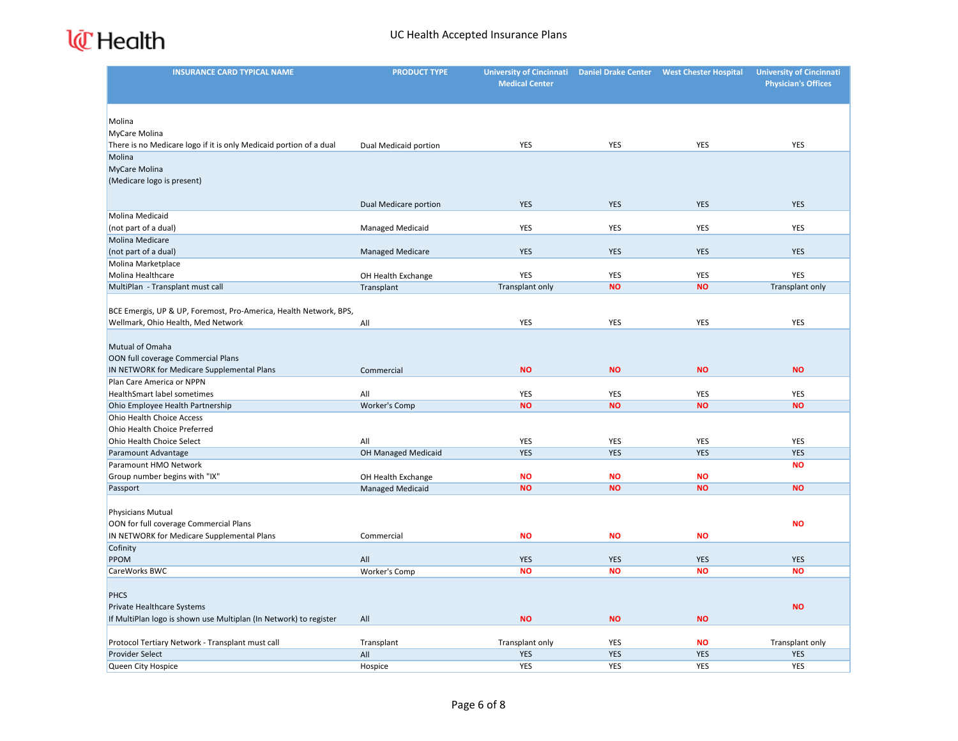| <b>INSURANCE CARD TYPICAL NAME</b>                                 | <b>PRODUCT TYPE</b>     | <b>University of Cincinnati</b> | <b>Daniel Drake Center</b> | <b>West Chester Hospital</b> | <b>University of Cincinnati</b> |
|--------------------------------------------------------------------|-------------------------|---------------------------------|----------------------------|------------------------------|---------------------------------|
|                                                                    |                         | <b>Medical Center</b>           |                            |                              | <b>Physician's Offices</b>      |
|                                                                    |                         |                                 |                            |                              |                                 |
|                                                                    |                         |                                 |                            |                              |                                 |
| Molina                                                             |                         |                                 |                            |                              |                                 |
| MyCare Molina                                                      |                         |                                 |                            |                              |                                 |
| There is no Medicare logo if it is only Medicaid portion of a dual | Dual Medicaid portion   | YES                             | <b>YES</b>                 | YES                          | YES                             |
| Molina                                                             |                         |                                 |                            |                              |                                 |
| MyCare Molina                                                      |                         |                                 |                            |                              |                                 |
| (Medicare logo is present)                                         |                         |                                 |                            |                              |                                 |
|                                                                    | Dual Medicare portion   | <b>YES</b>                      | <b>YES</b>                 | <b>YES</b>                   | <b>YES</b>                      |
| Molina Medicaid                                                    |                         |                                 |                            |                              |                                 |
| (not part of a dual)                                               | <b>Managed Medicaid</b> | YES                             | <b>YES</b>                 | <b>YES</b>                   | <b>YES</b>                      |
| Molina Medicare                                                    |                         |                                 |                            |                              |                                 |
| (not part of a dual)                                               | <b>Managed Medicare</b> | <b>YES</b>                      | <b>YES</b>                 | <b>YES</b>                   | <b>YES</b>                      |
| Molina Marketplace                                                 |                         |                                 |                            |                              |                                 |
| Molina Healthcare                                                  | OH Health Exchange      | YES                             | <b>YES</b>                 | <b>YES</b>                   | YES                             |
| MultiPlan - Transplant must call                                   | Transplant              | Transplant only                 | <b>NO</b>                  | <b>NO</b>                    | Transplant only                 |
|                                                                    |                         |                                 |                            |                              |                                 |
| BCE Emergis, UP & UP, Foremost, Pro-America, Health Network, BPS,  |                         |                                 |                            |                              |                                 |
| Wellmark, Ohio Health, Med Network                                 | All                     | YES                             | <b>YES</b>                 | YES                          | YES                             |
|                                                                    |                         |                                 |                            |                              |                                 |
| Mutual of Omaha                                                    |                         |                                 |                            |                              |                                 |
| OON full coverage Commercial Plans                                 |                         |                                 |                            |                              |                                 |
| IN NETWORK for Medicare Supplemental Plans                         | Commercial              | <b>NO</b>                       | <b>NO</b>                  | <b>NO</b>                    | <b>NO</b>                       |
| Plan Care America or NPPN                                          |                         |                                 |                            |                              |                                 |
| <b>HealthSmart label sometimes</b>                                 | All                     | YES                             | <b>YES</b>                 | YES                          | <b>YES</b>                      |
| Ohio Employee Health Partnership                                   | Worker's Comp           | <b>NO</b>                       | <b>NO</b>                  | <b>NO</b>                    | <b>NO</b>                       |
| Ohio Health Choice Access                                          |                         |                                 |                            |                              |                                 |
| Ohio Health Choice Preferred                                       |                         |                                 |                            |                              |                                 |
| Ohio Health Choice Select                                          | All                     | YES                             | <b>YES</b>                 | YES                          | YES                             |
| Paramount Advantage                                                | OH Managed Medicaid     | <b>YES</b>                      | <b>YES</b>                 | <b>YES</b>                   | <b>YES</b>                      |
| Paramount HMO Network                                              |                         |                                 |                            |                              | <b>NO</b>                       |
| Group number begins with "IX"                                      | OH Health Exchange      | <b>NO</b>                       | <b>NO</b>                  | <b>NO</b>                    |                                 |
| Passport                                                           | <b>Managed Medicaid</b> | <b>NO</b>                       | <b>NO</b>                  | <b>NO</b>                    | <b>NO</b>                       |
|                                                                    |                         |                                 |                            |                              |                                 |
| Physicians Mutual<br>OON for full coverage Commercial Plans        |                         |                                 |                            |                              | <b>NO</b>                       |
| IN NETWORK for Medicare Supplemental Plans                         | Commercial              | <b>NO</b>                       | <b>NO</b>                  | <b>NO</b>                    |                                 |
| Cofinity                                                           |                         |                                 |                            |                              |                                 |
| PPOM                                                               | All                     | <b>YES</b>                      | <b>YES</b>                 | <b>YES</b>                   | <b>YES</b>                      |
| CareWorks BWC                                                      | Worker's Comp           | <b>NO</b>                       | <b>NO</b>                  | <b>NO</b>                    | <b>NO</b>                       |
|                                                                    |                         |                                 |                            |                              |                                 |
| <b>PHCS</b>                                                        |                         |                                 |                            |                              |                                 |
| Private Healthcare Systems                                         |                         |                                 |                            |                              | <b>NO</b>                       |
| If MultiPlan logo is shown use Multiplan (In Network) to register  | All                     | <b>NO</b>                       | <b>NO</b>                  | <b>NO</b>                    |                                 |
|                                                                    |                         |                                 |                            |                              |                                 |
| Protocol Tertiary Network - Transplant must call                   | Transplant              | Transplant only                 | YES                        | <b>NO</b>                    | Transplant only                 |
| Provider Select                                                    | All                     | <b>YES</b>                      | <b>YES</b>                 | <b>YES</b>                   | <b>YES</b>                      |
| Queen City Hospice                                                 | Hospice                 | YES                             | <b>YES</b>                 | <b>YES</b>                   | <b>YES</b>                      |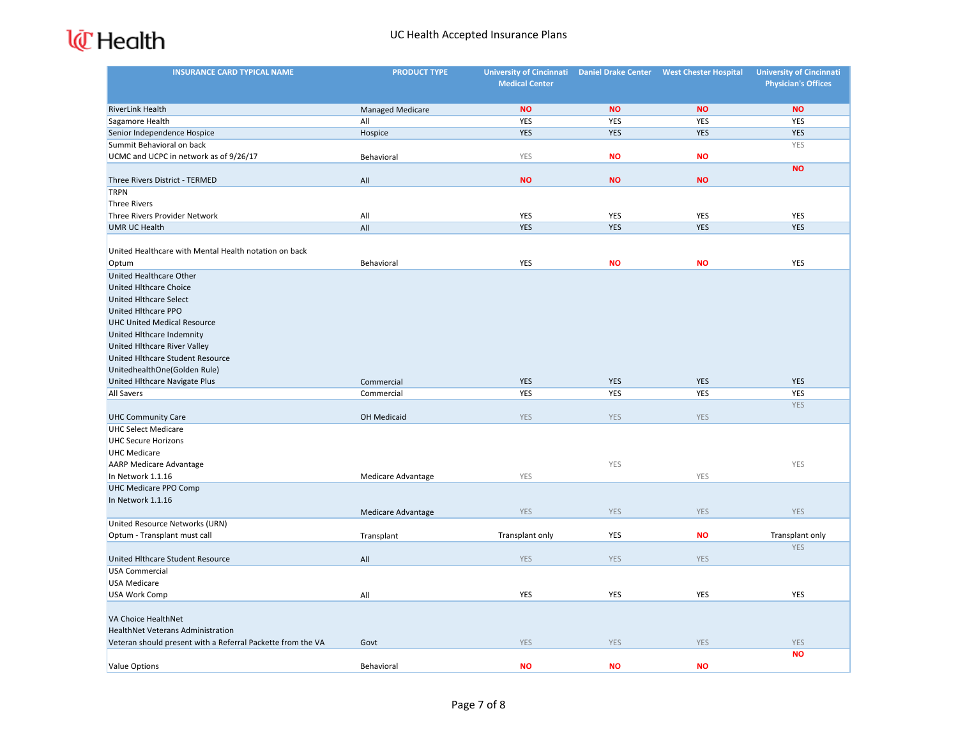| <b>INSURANCE CARD TYPICAL NAME</b>                          | <b>PRODUCT TYPE</b>       | <b>University of Cincinnati</b><br><b>Medical Center</b> | <b>Daniel Drake Center</b> | <b>West Chester Hospital</b> | <b>University of Cincinnati</b><br><b>Physician's Offices</b> |
|-------------------------------------------------------------|---------------------------|----------------------------------------------------------|----------------------------|------------------------------|---------------------------------------------------------------|
|                                                             |                           |                                                          |                            |                              |                                                               |
| <b>RiverLink Health</b>                                     | <b>Managed Medicare</b>   | <b>NO</b>                                                | <b>NO</b>                  | <b>NO</b>                    | <b>NO</b>                                                     |
| Sagamore Health                                             | All                       | YES                                                      | <b>YES</b>                 | <b>YES</b>                   | <b>YES</b>                                                    |
| Senior Independence Hospice                                 | Hospice                   | <b>YES</b>                                               | <b>YES</b>                 | <b>YES</b>                   | <b>YES</b>                                                    |
| Summit Behavioral on back                                   |                           |                                                          |                            |                              | YES                                                           |
| UCMC and UCPC in network as of 9/26/17                      | Behavioral                | YES                                                      | <b>NO</b>                  | <b>NO</b>                    |                                                               |
|                                                             |                           |                                                          |                            |                              | <b>NO</b>                                                     |
| Three Rivers District - TERMED                              | All                       | <b>NO</b>                                                | <b>NO</b>                  | <b>NO</b>                    |                                                               |
| <b>TRPN</b>                                                 |                           |                                                          |                            |                              |                                                               |
| <b>Three Rivers</b>                                         |                           |                                                          |                            |                              |                                                               |
| Three Rivers Provider Network                               | All                       | YES                                                      | YES                        | <b>YES</b>                   | YES                                                           |
| <b>UMR UC Health</b>                                        | All                       | <b>YES</b>                                               | <b>YES</b>                 | <b>YES</b>                   | <b>YES</b>                                                    |
|                                                             |                           |                                                          |                            |                              |                                                               |
| United Healthcare with Mental Health notation on back       |                           |                                                          |                            |                              |                                                               |
| Optum                                                       | Behavioral                | YES                                                      | <b>NO</b>                  | <b>NO</b>                    | YES                                                           |
| <b>United Healthcare Other</b>                              |                           |                                                          |                            |                              |                                                               |
| <b>United Hithcare Choice</b>                               |                           |                                                          |                            |                              |                                                               |
| <b>United Hlthcare Select</b>                               |                           |                                                          |                            |                              |                                                               |
| United Hlthcare PPO                                         |                           |                                                          |                            |                              |                                                               |
| <b>UHC United Medical Resource</b>                          |                           |                                                          |                            |                              |                                                               |
| United Hlthcare Indemnity                                   |                           |                                                          |                            |                              |                                                               |
| United Hlthcare River Valley                                |                           |                                                          |                            |                              |                                                               |
| United Hithcare Student Resource                            |                           |                                                          |                            |                              |                                                               |
| UnitedhealthOne(Golden Rule)                                |                           |                                                          |                            |                              |                                                               |
| United Hlthcare Navigate Plus                               | Commercial                | <b>YES</b>                                               | <b>YES</b>                 | <b>YES</b>                   | <b>YES</b>                                                    |
| All Savers                                                  | Commercial                | YES                                                      | <b>YES</b>                 | YES                          | <b>YES</b>                                                    |
|                                                             |                           |                                                          |                            |                              | <b>YES</b>                                                    |
| <b>UHC Community Care</b>                                   | OH Medicaid               | <b>YES</b>                                               | <b>YES</b>                 | <b>YES</b>                   |                                                               |
| <b>UHC Select Medicare</b>                                  |                           |                                                          |                            |                              |                                                               |
| <b>UHC Secure Horizons</b>                                  |                           |                                                          |                            |                              |                                                               |
| <b>UHC Medicare</b>                                         |                           |                                                          |                            |                              |                                                               |
| <b>AARP Medicare Advantage</b>                              |                           |                                                          | YES                        |                              | YES                                                           |
| In Network 1.1.16                                           | Medicare Advantage        | YES                                                      |                            | YES                          |                                                               |
| <b>UHC Medicare PPO Comp</b>                                |                           |                                                          |                            |                              |                                                               |
| In Network 1.1.16                                           |                           |                                                          |                            |                              |                                                               |
|                                                             | <b>Medicare Advantage</b> | <b>YES</b>                                               | <b>YES</b>                 | <b>YES</b>                   | <b>YES</b>                                                    |
| United Resource Networks (URN)                              |                           |                                                          |                            |                              |                                                               |
| Optum - Transplant must call                                | Transplant                | Transplant only                                          | <b>YES</b>                 | <b>NO</b>                    | Transplant only                                               |
|                                                             |                           |                                                          |                            |                              | <b>YES</b>                                                    |
| United Hlthcare Student Resource                            | All                       | <b>YES</b>                                               | <b>YES</b>                 | <b>YES</b>                   |                                                               |
| <b>USA Commercial</b>                                       |                           |                                                          |                            |                              |                                                               |
| <b>USA Medicare</b>                                         |                           |                                                          |                            |                              |                                                               |
| USA Work Comp                                               | All                       | YES                                                      | YES                        | <b>YES</b>                   | YES                                                           |
|                                                             |                           |                                                          |                            |                              |                                                               |
| VA Choice HealthNet                                         |                           |                                                          |                            |                              |                                                               |
| HealthNet Veterans Administration                           |                           |                                                          |                            |                              |                                                               |
| Veteran should present with a Referral Packette from the VA | Govt                      | <b>YES</b>                                               | <b>YES</b>                 | <b>YES</b>                   | YES                                                           |
|                                                             |                           |                                                          |                            |                              | <b>NO</b>                                                     |
| <b>Value Options</b>                                        | Behavioral                | <b>NO</b>                                                | <b>NO</b>                  | <b>NO</b>                    |                                                               |